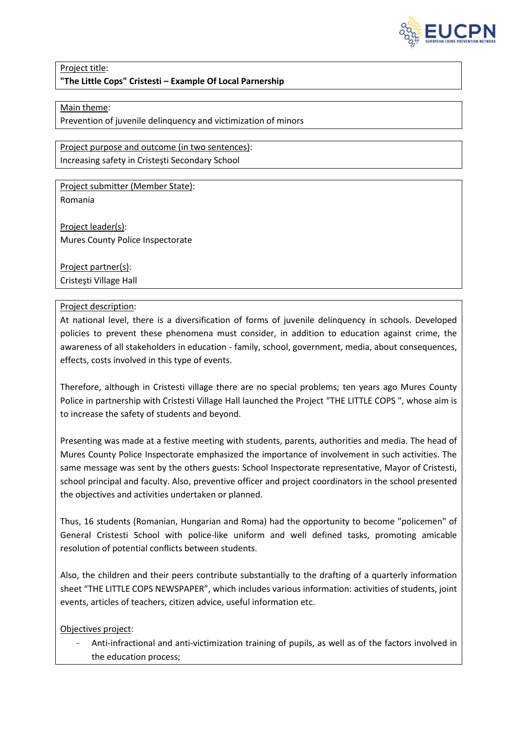

## Project title: **"The Little Cops" Cristesti – Example Of Local Parnership**

## Main theme:

Prevention of juvenile delinquency and victimization of minors

Project purpose and outcome (in two sentences): Increasing safety in Cristeşti Secondary School

Project submitter (Member State): Romania

Project leader(s): Mures County Police Inspectorate

Project partner(s): Cristeşti Village Hall

## Project description:

At national level, there is a diversification of forms of juvenile delinquency in schools. Developed policies to prevent these phenomena must consider, in addition to education against crime, the awareness of all stakeholders in education - family, school, government, media, about consequences, effects, costs involved in this type of events.

Therefore, although in Cristesti village there are no special problems; ten years ago Mures County Police in partnership with Cristesti Village Hall launched the Project "THE LITTLE COPS ", whose aim is to increase the safety of students and beyond.

Presenting was made at a festive meeting with students, parents, authorities and media. The head of Mures County Police Inspectorate emphasized the importance of involvement in such activities. The same message was sent by the others guests: School Inspectorate representative, Mayor of Cristesti, school principal and faculty. Also, preventive officer and project coordinators in the school presented the objectives and activities undertaken or planned.

Thus, 16 students (Romanian, Hungarian and Roma) had the opportunity to become "policemen" of General Cristesti School with police-like uniform and well defined tasks, promoting amicable resolution of potential conflicts between students.

Also, the children and their peers contribute substantially to the drafting of a quarterly information sheet "THE LITTLE COPS NEWSPAPER", which includes various information: activities of students, joint events, articles of teachers, citizen advice, useful information etc.

Objectives project:

- Anti-infractional and anti-victimization training of pupils, as well as of the factors involved in the education process;